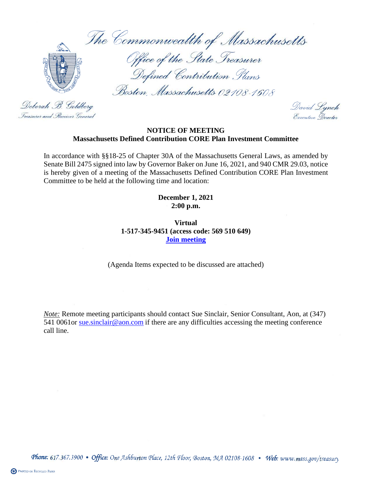The Commonwealth of Massachusetts



Deborah B. Goldberg

Treasurer and Receiver General

Office of the State Treasurer Defined Contribution Plans

Boston, Massachusetts 02108-1608

David Lynch<br>Executive Director

## **NOTICE OF MEETING Massachusetts Defined Contribution CORE Plan Investment Committee**

In accordance with §§18-25 of Chapter 30A of the Massachusetts General Laws, as amended by Senate Bill 2475 signed into law by Governor Baker on June 16, 2021, and 940 CMR 29.03, notice is hereby given of a meeting of the Massachusetts Defined Contribution CORE Plan Investment Committee to be held at the following time and location:

> **December 1, 2021 2:00 p.m.**

**Virtual 1-517-345-9451 (access code: 569 510 649) [Join meeting](https://aon.webex.com/join/sue.sinclair)**

(Agenda Items expected to be discussed are attached)

*Note:* Remote meeting participants should contact Sue Sinclair, Senior Consultant, Aon, at (347) 541 0061or sue sinclair@aon.com if there are any difficulties accessing the meeting conference call line.